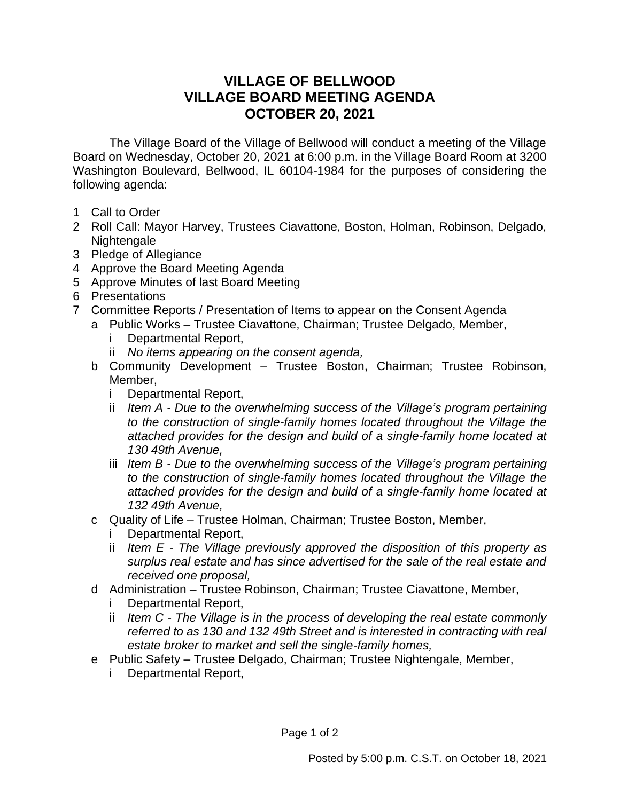## **VILLAGE OF BELLWOOD VILLAGE BOARD MEETING AGENDA OCTOBER 20, 2021**

The Village Board of the Village of Bellwood will conduct a meeting of the Village Board on Wednesday, October 20, 2021 at 6:00 p.m. in the Village Board Room at 3200 Washington Boulevard, Bellwood, IL 60104-1984 for the purposes of considering the following agenda:

- 1 Call to Order
- 2 Roll Call: Mayor Harvey, Trustees Ciavattone, Boston, Holman, Robinson, Delgado, Nightengale
- 3 Pledge of Allegiance
- 4 Approve the Board Meeting Agenda
- 5 Approve Minutes of last Board Meeting
- 6 Presentations
- 7 Committee Reports / Presentation of Items to appear on the Consent Agenda
	- a Public Works Trustee Ciavattone, Chairman; Trustee Delgado, Member,
		- Departmental Report,
		- ii *No items appearing on the consent agenda,*
		- b Community Development Trustee Boston, Chairman; Trustee Robinson, Member,
			- i Departmental Report,
			- ii *Item A - Due to the overwhelming success of the Village's program pertaining to the construction of single-family homes located throughout the Village the attached provides for the design and build of a single-family home located at 130 49th Avenue,*
			- iii *Item B - Due to the overwhelming success of the Village's program pertaining to the construction of single-family homes located throughout the Village the attached provides for the design and build of a single-family home located at 132 49th Avenue,*
		- c Quality of Life Trustee Holman, Chairman; Trustee Boston, Member,
			- i Departmental Report,
			- ii *Item E - The Village previously approved the disposition of this property as surplus real estate and has since advertised for the sale of the real estate and received one proposal,*
		- d Administration Trustee Robinson, Chairman; Trustee Ciavattone, Member,
			- i Departmental Report,
			- ii *Item C - The Village is in the process of developing the real estate commonly referred to as 130 and 132 49th Street and is interested in contracting with real estate broker to market and sell the single-family homes,*
		- e Public Safety Trustee Delgado, Chairman; Trustee Nightengale, Member,
			- i Departmental Report,